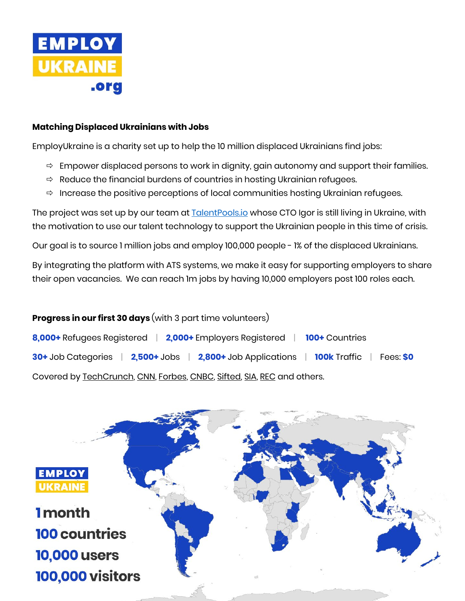

# **Matching Displaced Ukrainians with Jobs**

EmployUkraine is a charity set up to help the 10 million displaced Ukrainians find jobs:

- $\Rightarrow$  Empower displaced persons to work in dignity, gain autonomy and support their families.
- $\Rightarrow$  Reduce the financial burdens of countries in hosting Ukrainian refugees.
- $\Rightarrow$  Increase the positive perceptions of local communities hosting Ukrainian refugees.

The project was set up by our team at **TalentPools.io** whose CTO Igor is still living in Ukraine, with the motivation to use our talent technology to support the Ukrainian people in this time of crisis.

Our goal is to source 1 million jobs and employ 100,000 people - 1% of the displaced Ukrainians.

By integrating the platform with ATS systems, we make it easy for supporting employers to share their open vacancies. We can reach 1m jobs by having 10,000 employers post 100 roles each.

# **Progress in our first 30 days** (with 3 part time volunteers) **8,000+** Refugees Registered | **2,000+** Employers Registered | **100+** Countries **30+** Job Categories | **2,500+** Jobs | **2,800+** Job Applications | **100k** Traffic | Fees: **\$0** Covered b[y TechCrunch,](https://techcrunch.com/2022/03/15/how-european-startups-are-aiding-ukrainian-refugees/) [CNN,](https://edition.cnn.com/2022/03/28/success/ukrainian-refugee-jobs/index.html) [Forbes,](https://www.forbes.com/sites/jonyounger/2022/03/22/freelance-voices-how-global-freelance-platforms-are-supporting-ukrainian-freelancers/?sh=3ba7cc0057bf) [CNBC,](https://www.cnbc.com/2022/03/11/companies-are-lining-up-to-hire-ukraines-world-renowned-coders.html) [Sifted,](https://sifted.eu/articles/how-to-help-ukraine-tech/) [SIA,](https://www2.staffingindustry.com/eng/Editorial/Daily-News/World-Platform-workers-in-Ukraine-and-Russia-face-disruption-amid-impact-of-Russian-invasion-60894) [REC](https://www.rec.uk.com/our-view/topics/back-office/recs-ukraine-hub) and others.

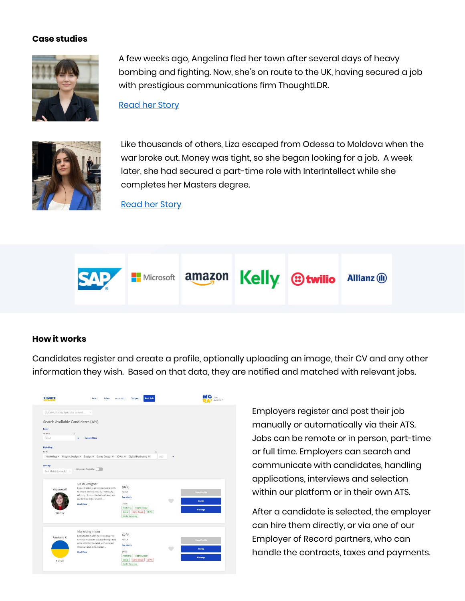#### **Case studies**



A few weeks ago, Angelina fled her town after several days of heavy bombing and fighting. Now, she's on route to the UK, having secured a job with prestigious communications firm ThoughtLDR.

[Read her](https://employukraine.org/angelinas-story/) Story



Like thousands of others, Liza escaped from Odessa to Moldova when the war broke out. Money was tight, so she began looking for a job. A week later, she had secured a part-time role with InterIntellect while she completes her Masters degree.

[Read her Story](https://employukraine.org/lizas-story/)



### **How it works**

Candidates register and create a profile, optionally uploading an image, their CV and any other information they wish. Based on that data, they are notified and matched with relevant jobs.



Employers register and post their job manually or automatically via their ATS. Jobs can be remote or in person, part-time or full time. Employers can search and communicate with candidates, handling applications, interviews and selection within our platform or in their own ATS.

After a candidate is selected, the employer can hire them directly, or via one of our Employer of Record partners, who can handle the contracts, taxes and payments.